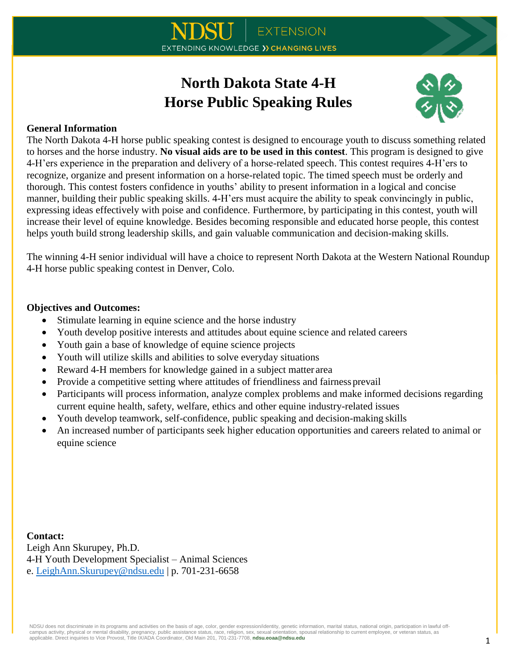# **North Dakota State 4-H Horse Public Speaking Rules**



### **General Information**

The North Dakota 4-H horse public speaking contest is designed to encourage youth to discuss something related to horses and the horse industry. **No visual aids are to be used in this contest**. This program is designed to give 4-H'ers experience in the preparation and delivery of a horse-related speech. This contest requires 4-H'ers to recognize, organize and present information on a horse-related topic. The timed speech must be orderly and thorough. This contest fosters confidence in youths' ability to present information in a logical and concise manner, building their public speaking skills. 4-H'ers must acquire the ability to speak convincingly in public, expressing ideas effectively with poise and confidence. Furthermore, by participating in this contest, youth will increase their level of equine knowledge. Besides becoming responsible and educated horse people, this contest helps youth build strong leadership skills, and gain valuable communication and decision-making skills.

The winning 4-H senior individual will have a choice to represent North Dakota at the Western National Roundup 4-H horse public speaking contest in Denver, Colo.

#### **Objectives and Outcomes:**

- Stimulate learning in equine science and the horse industry
- Youth develop positive interests and attitudes about equine science and related careers
- Youth gain a base of knowledge of equine science projects
- Youth will utilize skills and abilities to solve everyday situations
- Reward 4-H members for knowledge gained in a subject matter area
- Provide a competitive setting where attitudes of friendliness and fairness prevail
- Participants will process information, analyze complex problems and make informed decisions regarding current equine health, safety, welfare, ethics and other equine industry-related issues
- Youth develop teamwork, self-confidence, public speaking and decision-making skills
- An increased number of participants seek higher education opportunities and careers related to animal or equine science

**Contact:** Leigh Ann Skurupey, Ph.D. 4-H Youth Development Specialist – Animal Sciences e. [LeighAnn.Skurupey@ndsu.edu](mailto:LeighAnn.Skurupey@ndsu.edu) | p. 701-231-6658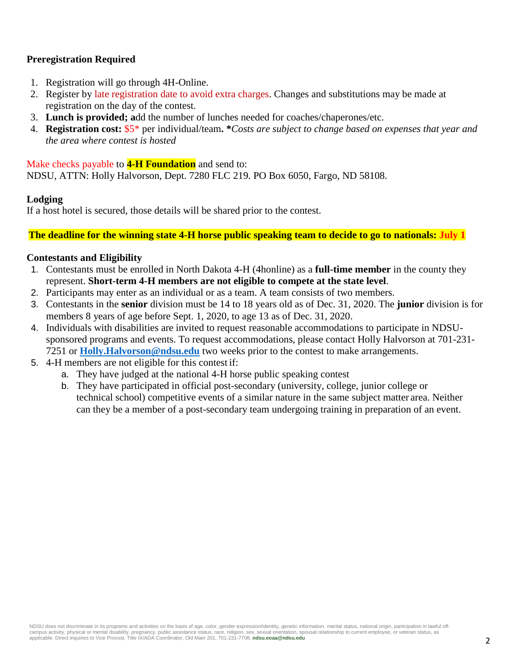## **Preregistration Required**

- 1. Registration will go through 4H-Online.
- 2. Register by late registration date to avoid extra charges. Changes and substitutions may be made at registration on the day of the contest.
- 3. **Lunch is provided; a**dd the number of lunches needed for coaches/chaperones/etc.
- 4. **Registration cost:** \$5\* per individual/team**. \****Costs are subject to change based on expenses that year and the area where contest is hosted*

#### Make checks payable to **4-H Foundation** and send to:

NDSU, ATTN: Holly Halvorson, Dept. 7280 FLC 219. PO Box 6050, Fargo, ND 58108.

#### **Lodging**

If a host hotel is secured, those details will be shared prior to the contest.

**The deadline for the winning state 4-H horse public speaking team to decide to go to nationals: July 1**

#### **Contestants and Eligibility**

- 1. Contestants must be enrolled in North Dakota 4-H (4honline) as a **full-time member** in the county they represent. **Short-term 4-H members are not eligible to compete at the state level**.
- 2. Participants may enter as an individual or as a team. A team consists of two members.
- 3. Contestants in the **senior** division must be 14 to 18 years old as of Dec. 31, 2020. The **junior** division is for members 8 years of age before Sept. 1, 2020, to age 13 as of Dec. 31, 2020.
- 4. Individuals with disabilities are invited to request reasonable accommodations to participate in NDSUsponsored programs and events. To request accommodations, please contact Holly Halvorson at 701-231- 7251 or **[Holly.Halvorson@ndsu.edu](mailto:Holly.Halvorson@ndsu.edu)** two weeks prior to the contest to make arrangements.
- 5. 4-H members are not eligible for this contest if:
	- a. They have judged at the national 4-H horse public speaking contest
	- b. They have participated in official post-secondary (university, college, junior college or technical school) competitive events of a similar nature in the same subject matter area. Neither can they be a member of a post-secondary team undergoing training in preparation of an event.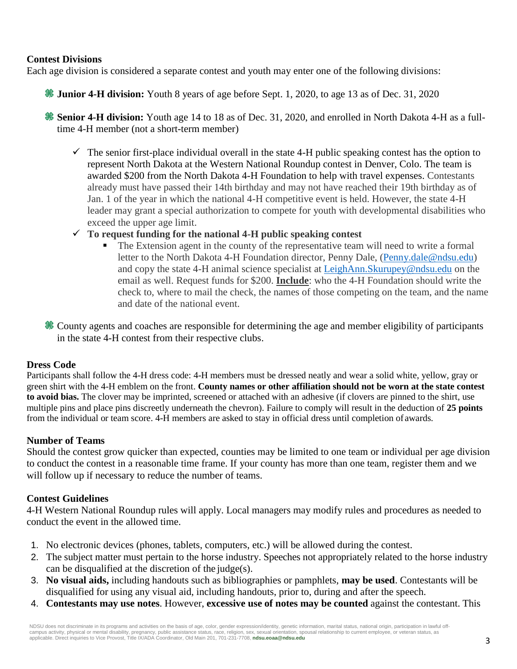#### **Contest Divisions**

Each age division is considered a separate contest and youth may enter one of the following divisions:

**Junior 4-H division:** Youth 8 years of age before Sept. 1, 2020, to age 13 as of Dec. 31, 2020

**Senior 4-H division:** Youth age 14 to 18 as of Dec. 31, 2020, and enrolled in North Dakota 4-H as a fulltime 4-H member (not a short-term member)

- $\checkmark$  The senior first-place individual overall in the state 4-H public speaking contest has the option to represent North Dakota at the Western National Roundup contest in Denver, Colo. The team is awarded \$200 from the North Dakota 4-H Foundation to help with travel expenses. Contestants already must have passed their 14th birthday and may not have reached their 19th birthday as of Jan. 1 of the year in which the national 4-H competitive event is held. However, the state 4-H leader may grant a special authorization to compete for youth with developmental disabilities who exceed the upper age limit.
- **To request funding for the national 4-H public speaking contest**
	- The Extension agent in the county of the representative team will need to write a formal letter to the North Dakota 4-H Foundation director, Penny Dale, [\(Penny.dale@ndsu.edu\)](mailto:Penny.dale@ndsu.edu) and copy the state 4-H animal science specialist at [LeighAnn.Skurupey@ndsu.edu](mailto:LeighAnn.Skurupey@ndsu.edu) on the email as well. Request funds for \$200. **Include**: who the 4-H Foundation should write the check to, where to mail the check, the names of those competing on the team, and the name and date of the national event.

County agents and coaches are responsible for determining the age and member eligibility of participants in the state 4-H contest from their respective clubs.

#### **Dress Code**

Participants shall follow the 4-H dress code: 4-H members must be dressed neatly and wear a solid white, yellow, gray or green shirt with the 4-H emblem on the front. **County names or other affiliation should not be worn at the state contest to avoid bias.** The clover may be imprinted, screened or attached with an adhesive (if clovers are pinned to the shirt, use multiple pins and place pins discreetly underneath the chevron). Failure to comply will result in the deduction of **25 points** from the individual or team score. 4-H members are asked to stay in official dress until completion of awards.

#### **Number of Teams**

Should the contest grow quicker than expected, counties may be limited to one team or individual per age division to conduct the contest in a reasonable time frame. If your county has more than one team, register them and we will follow up if necessary to reduce the number of teams.

#### **Contest Guidelines**

4-H Western National Roundup rules will apply. Local managers may modify rules and procedures as needed to conduct the event in the allowed time.

- 1. No electronic devices (phones, tablets, computers, etc.) will be allowed during the contest.
- 2. The subject matter must pertain to the horse industry. Speeches not appropriately related to the horse industry can be disqualified at the discretion of the judge(s).
- 3. **No visual aids,** including handouts such as bibliographies or pamphlets, **may be used**. Contestants will be disqualified for using any visual aid, including handouts, prior to, during and after the speech.
- 4. **Contestants may use notes**. However, **excessive use of notes may be counted** against the contestant. This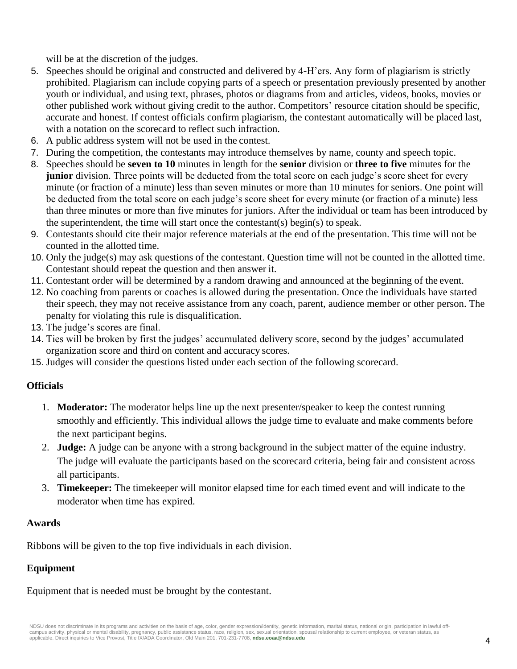will be at the discretion of the judges.

- 5. Speeches should be original and constructed and delivered by 4-H'ers. Any form of plagiarism is strictly prohibited. Plagiarism can include copying parts of a speech or presentation previously presented by another youth or individual, and using text, phrases, photos or diagrams from and articles, videos, books, movies or other published work without giving credit to the author. Competitors' resource citation should be specific, accurate and honest. If contest officials confirm plagiarism, the contestant automatically will be placed last, with a notation on the scorecard to reflect such infraction.
- 6. A public address system will not be used in the contest.
- 7. During the competition, the contestants may introduce themselves by name, county and speech topic.
- 8. Speeches should be **seven to 10** minutes in length for the **senior** division or **three to five** minutes for the **junior** division. Three points will be deducted from the total score on each judge's score sheet for every minute (or fraction of a minute) less than seven minutes or more than 10 minutes for seniors. One point will be deducted from the total score on each judge's score sheet for every minute (or fraction of a minute) less than three minutes or more than five minutes for juniors. After the individual or team has been introduced by the superintendent, the time will start once the contestant(s) begin(s) to speak.
- 9. Contestants should cite their major reference materials at the end of the presentation. This time will not be counted in the allotted time.
- 10. Only the judge(s) may ask questions of the contestant. Question time will not be counted in the allotted time. Contestant should repeat the question and then answer it.
- 11. Contestant order will be determined by a random drawing and announced at the beginning of the event.
- 12. No coaching from parents or coaches is allowed during the presentation. Once the individuals have started their speech, they may not receive assistance from any coach, parent, audience member or other person. The penalty for violating this rule is disqualification.
- 13. The judge's scores are final.
- 14. Ties will be broken by first the judges' accumulated delivery score, second by the judges' accumulated organization score and third on content and accuracy scores.
- 15. Judges will consider the questions listed under each section of the following scorecard.

# **Officials**

- 1. **Moderator:** The moderator helps line up the next presenter/speaker to keep the contest running smoothly and efficiently. This individual allows the judge time to evaluate and make comments before the next participant begins.
- 2. **Judge:** A judge can be anyone with a strong background in the subject matter of the equine industry. The judge will evaluate the participants based on the scorecard criteria, being fair and consistent across all participants.
- 3. **Timekeeper:** The timekeeper will monitor elapsed time for each timed event and will indicate to the moderator when time has expired.

## **Awards**

Ribbons will be given to the top five individuals in each division.

# **Equipment**

Equipment that is needed must be brought by the contestant.